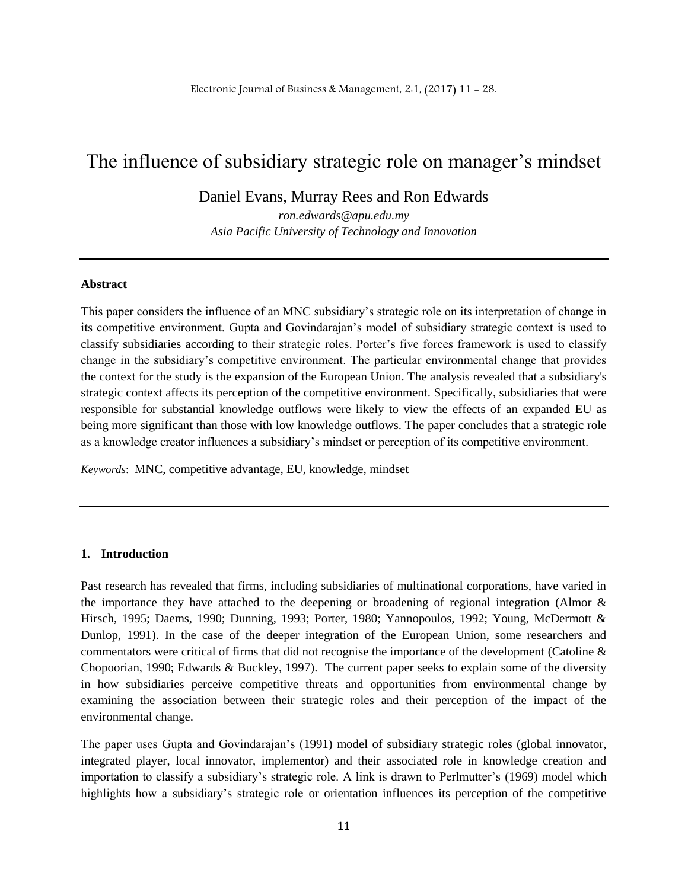## The influence of subsidiary strategic role on manager's mindset

Daniel Evans, Murray Rees and Ron Edwards

*ron.edwards@apu.edu.my Asia Pacific University of Technology and Innovation*

#### **Abstract**

This paper considers the influence of an MNC subsidiary's strategic role on its interpretation of change in its competitive environment. Gupta and Govindarajan's model of subsidiary strategic context is used to classify subsidiaries according to their strategic roles. Porter's five forces framework is used to classify change in the subsidiary's competitive environment. The particular environmental change that provides the context for the study is the expansion of the European Union. The analysis revealed that a subsidiary's strategic context affects its perception of the competitive environment. Specifically, subsidiaries that were responsible for substantial knowledge outflows were likely to view the effects of an expanded EU as being more significant than those with low knowledge outflows. The paper concludes that a strategic role as a knowledge creator influences a subsidiary's mindset or perception of its competitive environment.

*Keywords*: MNC, competitive advantage, EU, knowledge, mindset

#### **1. Introduction**

Past research has revealed that firms, including subsidiaries of multinational corporations, have varied in the importance they have attached to the deepening or broadening of regional integration (Almor & Hirsch, 1995; Daems, 1990; Dunning, 1993; Porter, 1980; Yannopoulos, 1992; Young, McDermott & Dunlop, 1991). In the case of the deeper integration of the European Union, some researchers and commentators were critical of firms that did not recognise the importance of the development (Catoline & Chopoorian, 1990; Edwards & Buckley, 1997). The current paper seeks to explain some of the diversity in how subsidiaries perceive competitive threats and opportunities from environmental change by examining the association between their strategic roles and their perception of the impact of the environmental change.

The paper uses Gupta and Govindarajan's (1991) model of subsidiary strategic roles (global innovator, integrated player, local innovator, implementor) and their associated role in knowledge creation and importation to classify a subsidiary's strategic role. A link is drawn to Perlmutter's (1969) model which highlights how a subsidiary's strategic role or orientation influences its perception of the competitive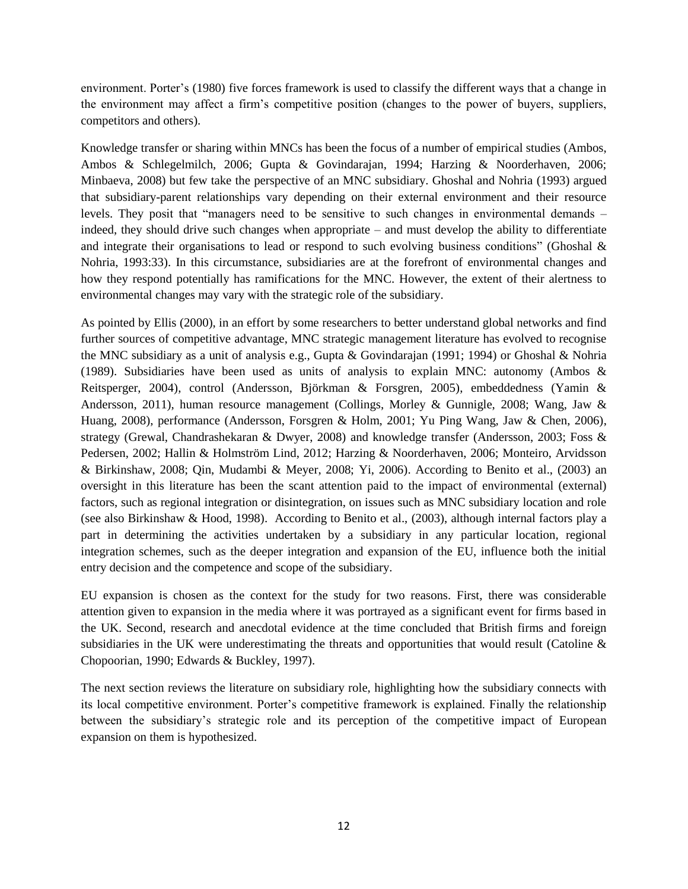environment. Porter's (1980) five forces framework is used to classify the different ways that a change in the environment may affect a firm's competitive position (changes to the power of buyers, suppliers, competitors and others).

Knowledge transfer or sharing within MNCs has been the focus of a number of empirical studies (Ambos, Ambos & Schlegelmilch, 2006; Gupta & Govindarajan, 1994; Harzing & Noorderhaven, 2006; Minbaeva, 2008) but few take the perspective of an MNC subsidiary. Ghoshal and Nohria (1993) argued that subsidiary-parent relationships vary depending on their external environment and their resource levels. They posit that "managers need to be sensitive to such changes in environmental demands – indeed, they should drive such changes when appropriate – and must develop the ability to differentiate and integrate their organisations to lead or respond to such evolving business conditions" (Ghoshal  $\&$ Nohria, 1993:33). In this circumstance, subsidiaries are at the forefront of environmental changes and how they respond potentially has ramifications for the MNC. However, the extent of their alertness to environmental changes may vary with the strategic role of the subsidiary.

As pointed by Ellis (2000), in an effort by some researchers to better understand global networks and find further sources of competitive advantage, MNC strategic management literature has evolved to recognise the MNC subsidiary as a unit of analysis e.g., Gupta & Govindarajan (1991; 1994) or Ghoshal & Nohria (1989). Subsidiaries have been used as units of analysis to explain MNC: autonomy (Ambos & Reitsperger, 2004), control (Andersson, Björkman & Forsgren, 2005), embeddedness (Yamin & Andersson, 2011), human resource management (Collings, Morley & Gunnigle, 2008; Wang, Jaw & Huang, 2008), performance (Andersson, Forsgren & Holm, 2001; Yu Ping Wang, Jaw & Chen, 2006), strategy (Grewal, Chandrashekaran & Dwyer, 2008) and knowledge transfer (Andersson, 2003; Foss & Pedersen, 2002; Hallin & Holmström Lind, 2012; Harzing & Noorderhaven, 2006; Monteiro, Arvidsson & Birkinshaw, 2008; Qin, Mudambi & Meyer, 2008; Yi, 2006). According to Benito et al., (2003) an oversight in this literature has been the scant attention paid to the impact of environmental (external) factors, such as regional integration or disintegration, on issues such as MNC subsidiary location and role (see also Birkinshaw & Hood, 1998). According to Benito et al., (2003), although internal factors play a part in determining the activities undertaken by a subsidiary in any particular location, regional integration schemes, such as the deeper integration and expansion of the EU, influence both the initial entry decision and the competence and scope of the subsidiary.

EU expansion is chosen as the context for the study for two reasons. First, there was considerable attention given to expansion in the media where it was portrayed as a significant event for firms based in the UK. Second, research and anecdotal evidence at the time concluded that British firms and foreign subsidiaries in the UK were underestimating the threats and opportunities that would result (Catoline & Chopoorian, 1990; Edwards & Buckley, 1997).

The next section reviews the literature on subsidiary role, highlighting how the subsidiary connects with its local competitive environment. Porter's competitive framework is explained. Finally the relationship between the subsidiary's strategic role and its perception of the competitive impact of European expansion on them is hypothesized.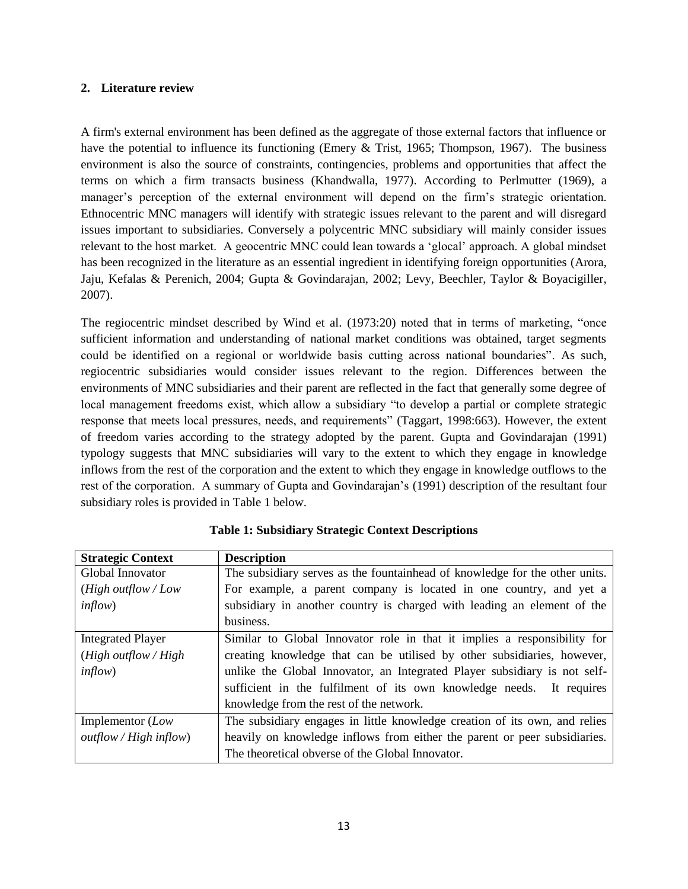#### **2. Literature review**

A firm's external environment has been defined as the aggregate of those external factors that influence or have the potential to influence its functioning (Emery & Trist, 1965; Thompson, 1967). The business environment is also the source of constraints, contingencies, problems and opportunities that affect the terms on which a firm transacts business (Khandwalla, 1977). According to Perlmutter (1969), a manager's perception of the external environment will depend on the firm's strategic orientation. Ethnocentric MNC managers will identify with strategic issues relevant to the parent and will disregard issues important to subsidiaries. Conversely a polycentric MNC subsidiary will mainly consider issues relevant to the host market. A geocentric MNC could lean towards a 'glocal' approach. A global mindset has been recognized in the literature as an essential ingredient in identifying foreign opportunities (Arora, Jaju, Kefalas & Perenich, 2004; Gupta & Govindarajan, 2002; Levy, Beechler, Taylor & Boyacigiller, 2007).

The regiocentric mindset described by Wind et al.  $(1973:20)$  noted that in terms of marketing, "once sufficient information and understanding of national market conditions was obtained, target segments could be identified on a regional or worldwide basis cutting across national boundaries". As such, regiocentric subsidiaries would consider issues relevant to the region. Differences between the environments of MNC subsidiaries and their parent are reflected in the fact that generally some degree of local management freedoms exist, which allow a subsidiary "to develop a partial or complete strategic response that meets local pressures, needs, and requirements" (Taggart, 1998:663). However, the extent of freedom varies according to the strategy adopted by the parent. Gupta and Govindarajan (1991) typology suggests that MNC subsidiaries will vary to the extent to which they engage in knowledge inflows from the rest of the corporation and the extent to which they engage in knowledge outflows to the rest of the corporation. A summary of Gupta and Govindarajan's (1991) description of the resultant four subsidiary roles is provided in Table 1 below.

| <b>Strategic Context</b>      | <b>Description</b>                                                          |
|-------------------------------|-----------------------------------------------------------------------------|
| Global Innovator              | The subsidiary serves as the fountainhead of knowledge for the other units. |
| ( <i>High outflow</i> / $Low$ | For example, a parent company is located in one country, and yet a          |
| $\infty$ )                    | subsidiary in another country is charged with leading an element of the     |
|                               | business.                                                                   |
| <b>Integrated Player</b>      | Similar to Global Innovator role in that it implies a responsibility for    |
| $(High\ outflow/High)$        | creating knowledge that can be utilised by other subsidiaries, however,     |
| $\text{inflow}$               | unlike the Global Innovator, an Integrated Player subsidiary is not self-   |
|                               | sufficient in the fulfilment of its own knowledge needs. It requires        |
|                               | knowledge from the rest of the network.                                     |
| Implementor (Low              | The subsidiary engages in little knowledge creation of its own, and relies  |
| outflow / High inflow)        | heavily on knowledge inflows from either the parent or peer subsidiaries.   |
|                               | The theoretical obverse of the Global Innovator.                            |

## **Table 1: Subsidiary Strategic Context Descriptions**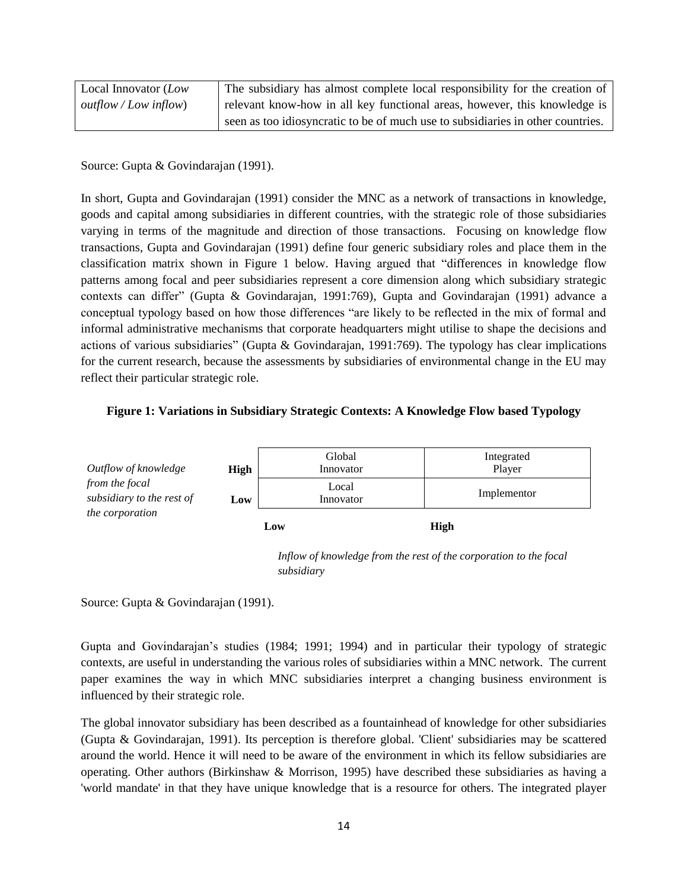| Local Innovator (Low  | The subsidiary has almost complete local responsibility for the creation of     |
|-----------------------|---------------------------------------------------------------------------------|
| outflow / Low inflow) | relevant know-how in all key functional areas, however, this knowledge is       |
|                       | seen as too idiosyncratic to be of much use to subsidiaries in other countries. |

Source: Gupta & Govindarajan (1991).

In short, Gupta and Govindarajan (1991) consider the MNC as a network of transactions in knowledge, goods and capital among subsidiaries in different countries, with the strategic role of those subsidiaries varying in terms of the magnitude and direction of those transactions. Focusing on knowledge flow transactions, Gupta and Govindarajan (1991) define four generic subsidiary roles and place them in the classification matrix shown in Figure 1 below. Having argued that "differences in knowledge flow patterns among focal and peer subsidiaries represent a core dimension along which subsidiary strategic contexts can differ" (Gupta & Govindarajan, 1991:769), Gupta and Govindarajan (1991) advance a conceptual typology based on how those differences "are likely to be reflected in the mix of formal and informal administrative mechanisms that corporate headquarters might utilise to shape the decisions and actions of various subsidiaries" (Gupta & Govindarajan, 1991:769). The typology has clear implications for the current research, because the assessments by subsidiaries of environmental change in the EU may reflect their particular strategic role.

#### **Figure 1: Variations in Subsidiary Strategic Contexts: A Knowledge Flow based Typology**



*Inflow of knowledge from the rest of the corporation to the focal subsidiary*

Source: Gupta & Govindarajan (1991).

Gupta and Govindarajan's studies (1984; 1991; 1994) and in particular their typology of strategic contexts, are useful in understanding the various roles of subsidiaries within a MNC network. The current paper examines the way in which MNC subsidiaries interpret a changing business environment is influenced by their strategic role.

The global innovator subsidiary has been described as a fountainhead of knowledge for other subsidiaries (Gupta & Govindarajan, 1991). Its perception is therefore global. 'Client' subsidiaries may be scattered around the world. Hence it will need to be aware of the environment in which its fellow subsidiaries are operating. Other authors (Birkinshaw & Morrison, 1995) have described these subsidiaries as having a 'world mandate' in that they have unique knowledge that is a resource for others. The integrated player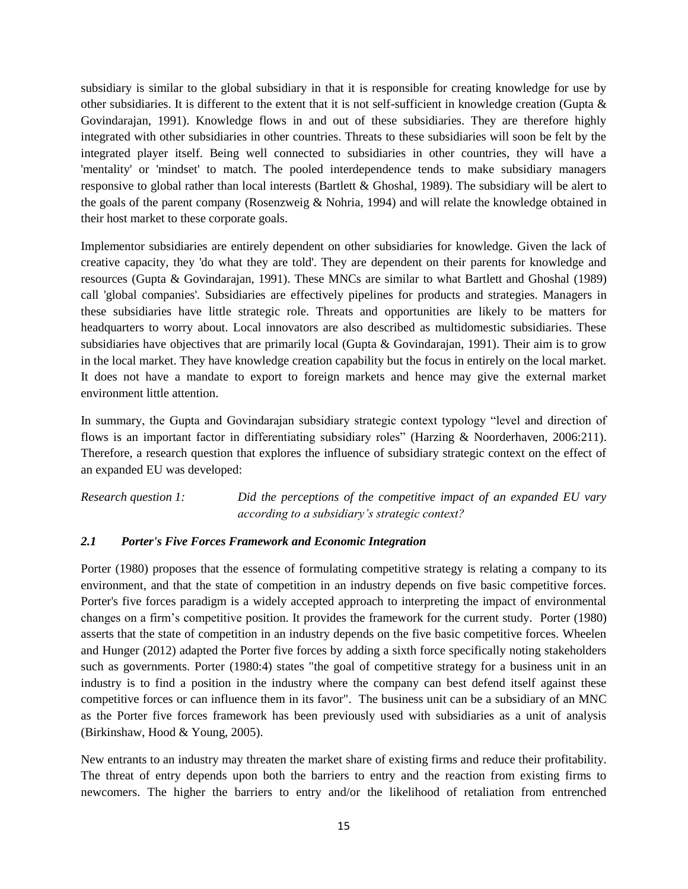subsidiary is similar to the global subsidiary in that it is responsible for creating knowledge for use by other subsidiaries. It is different to the extent that it is not self-sufficient in knowledge creation (Gupta & Govindarajan, 1991). Knowledge flows in and out of these subsidiaries. They are therefore highly integrated with other subsidiaries in other countries. Threats to these subsidiaries will soon be felt by the integrated player itself. Being well connected to subsidiaries in other countries, they will have a 'mentality' or 'mindset' to match. The pooled interdependence tends to make subsidiary managers responsive to global rather than local interests (Bartlett & Ghoshal, 1989). The subsidiary will be alert to the goals of the parent company (Rosenzweig & Nohria, 1994) and will relate the knowledge obtained in their host market to these corporate goals.

Implementor subsidiaries are entirely dependent on other subsidiaries for knowledge. Given the lack of creative capacity, they 'do what they are told'. They are dependent on their parents for knowledge and resources (Gupta & Govindarajan, 1991). These MNCs are similar to what Bartlett and Ghoshal (1989) call 'global companies'. Subsidiaries are effectively pipelines for products and strategies. Managers in these subsidiaries have little strategic role. Threats and opportunities are likely to be matters for headquarters to worry about. Local innovators are also described as multidomestic subsidiaries. These subsidiaries have objectives that are primarily local (Gupta & Govindarajan, 1991). Their aim is to grow in the local market. They have knowledge creation capability but the focus in entirely on the local market. It does not have a mandate to export to foreign markets and hence may give the external market environment little attention.

In summary, the Gupta and Govindarajan subsidiary strategic context typology "level and direction of flows is an important factor in differentiating subsidiary roles" (Harzing & Noorderhaven, 2006:211). Therefore, a research question that explores the influence of subsidiary strategic context on the effect of an expanded EU was developed:

*Research question 1: Did the perceptions of the competitive impact of an expanded EU vary according to a subsidiary's strategic context?* 

## *2.1 Porter's Five Forces Framework and Economic Integration*

Porter (1980) proposes that the essence of formulating competitive strategy is relating a company to its environment, and that the state of competition in an industry depends on five basic competitive forces. Porter's five forces paradigm is a widely accepted approach to interpreting the impact of environmental changes on a firm's competitive position. It provides the framework for the current study. Porter (1980) asserts that the state of competition in an industry depends on the five basic competitive forces. Wheelen and Hunger (2012) adapted the Porter five forces by adding a sixth force specifically noting stakeholders such as governments. Porter (1980:4) states "the goal of competitive strategy for a business unit in an industry is to find a position in the industry where the company can best defend itself against these competitive forces or can influence them in its favor". The business unit can be a subsidiary of an MNC as the Porter five forces framework has been previously used with subsidiaries as a unit of analysis (Birkinshaw, Hood & Young, 2005).

New entrants to an industry may threaten the market share of existing firms and reduce their profitability. The threat of entry depends upon both the barriers to entry and the reaction from existing firms to newcomers. The higher the barriers to entry and/or the likelihood of retaliation from entrenched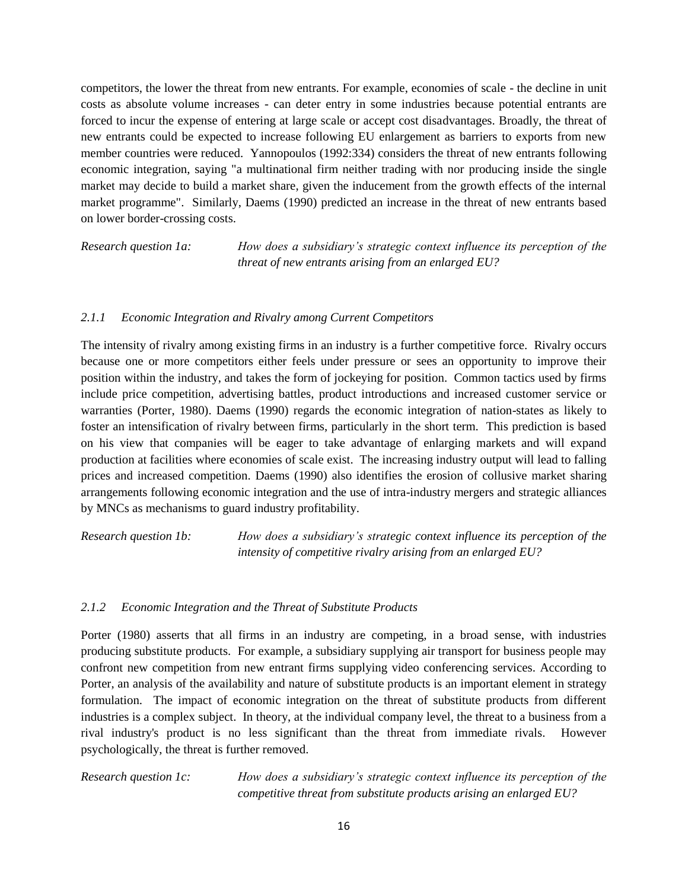competitors, the lower the threat from new entrants. For example, economies of scale - the decline in unit costs as absolute volume increases - can deter entry in some industries because potential entrants are forced to incur the expense of entering at large scale or accept cost disadvantages. Broadly, the threat of new entrants could be expected to increase following EU enlargement as barriers to exports from new member countries were reduced. Yannopoulos (1992:334) considers the threat of new entrants following economic integration, saying "a multinational firm neither trading with nor producing inside the single market may decide to build a market share, given the inducement from the growth effects of the internal market programme". Similarly, Daems (1990) predicted an increase in the threat of new entrants based on lower border-crossing costs.

*Research question 1a: How does a subsidiary's strategic context influence its perception of the threat of new entrants arising from an enlarged EU?* 

## *2.1.1 Economic Integration and Rivalry among Current Competitors*

The intensity of rivalry among existing firms in an industry is a further competitive force. Rivalry occurs because one or more competitors either feels under pressure or sees an opportunity to improve their position within the industry, and takes the form of jockeying for position. Common tactics used by firms include price competition, advertising battles, product introductions and increased customer service or warranties (Porter, 1980). Daems (1990) regards the economic integration of nation-states as likely to foster an intensification of rivalry between firms, particularly in the short term. This prediction is based on his view that companies will be eager to take advantage of enlarging markets and will expand production at facilities where economies of scale exist. The increasing industry output will lead to falling prices and increased competition. Daems (1990) also identifies the erosion of collusive market sharing arrangements following economic integration and the use of intra-industry mergers and strategic alliances by MNCs as mechanisms to guard industry profitability.

*Research question 1b: How does a subsidiary's strategic context influence its perception of the intensity of competitive rivalry arising from an enlarged EU?* 

## *2.1.2 Economic Integration and the Threat of Substitute Products*

Porter (1980) asserts that all firms in an industry are competing, in a broad sense, with industries producing substitute products. For example, a subsidiary supplying air transport for business people may confront new competition from new entrant firms supplying video conferencing services. According to Porter, an analysis of the availability and nature of substitute products is an important element in strategy formulation. The impact of economic integration on the threat of substitute products from different industries is a complex subject. In theory, at the individual company level, the threat to a business from a rival industry's product is no less significant than the threat from immediate rivals. However psychologically, the threat is further removed.

*Research question 1c: How does a subsidiary's strategic context influence its perception of the competitive threat from substitute products arising an enlarged EU?*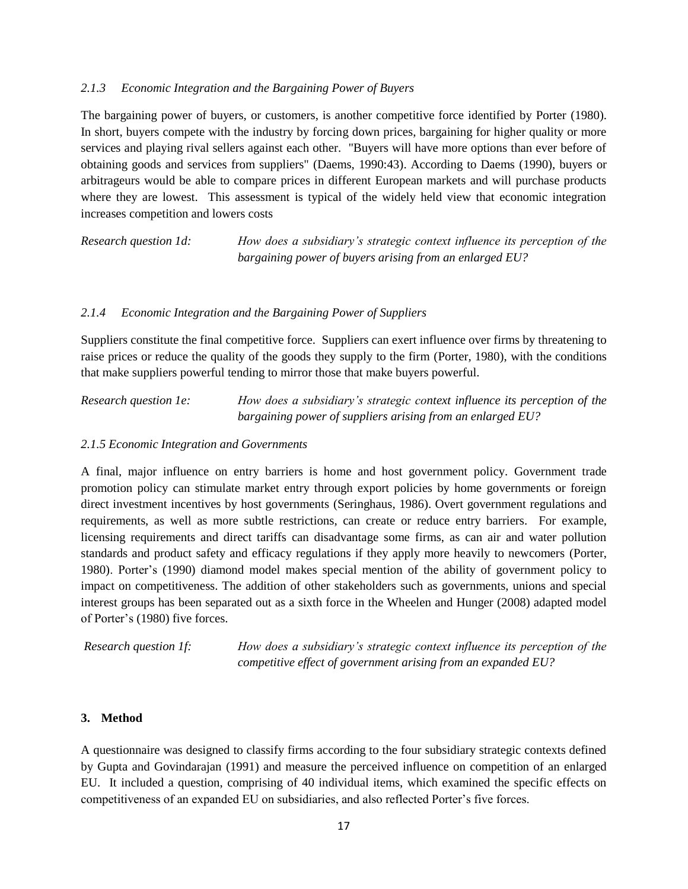#### *2.1.3 Economic Integration and the Bargaining Power of Buyers*

The bargaining power of buyers, or customers, is another competitive force identified by Porter (1980). In short, buyers compete with the industry by forcing down prices, bargaining for higher quality or more services and playing rival sellers against each other. "Buyers will have more options than ever before of obtaining goods and services from suppliers" (Daems, 1990:43). According to Daems (1990), buyers or arbitrageurs would be able to compare prices in different European markets and will purchase products where they are lowest. This assessment is typical of the widely held view that economic integration increases competition and lowers costs

*Research question 1d: How does a subsidiary's strategic context influence its perception of the bargaining power of buyers arising from an enlarged EU?* 

## *2.1.4 Economic Integration and the Bargaining Power of Suppliers*

Suppliers constitute the final competitive force. Suppliers can exert influence over firms by threatening to raise prices or reduce the quality of the goods they supply to the firm (Porter, 1980), with the conditions that make suppliers powerful tending to mirror those that make buyers powerful.

*Research question 1e: How does a subsidiary's strategic context influence its perception of the bargaining power of suppliers arising from an enlarged EU?* 

#### *2.1.5 Economic Integration and Governments*

A final, major influence on entry barriers is home and host government policy. Government trade promotion policy can stimulate market entry through export policies by home governments or foreign direct investment incentives by host governments (Seringhaus, 1986). Overt government regulations and requirements, as well as more subtle restrictions, can create or reduce entry barriers. For example, licensing requirements and direct tariffs can disadvantage some firms, as can air and water pollution standards and product safety and efficacy regulations if they apply more heavily to newcomers (Porter, 1980). Porter's (1990) diamond model makes special mention of the ability of government policy to impact on competitiveness. The addition of other stakeholders such as governments, unions and special interest groups has been separated out as a sixth force in the Wheelen and Hunger (2008) adapted model of Porter's (1980) five forces.

*Research question 1f: How does a subsidiary's strategic context influence its perception of the competitive effect of government arising from an expanded EU?*

#### **3. Method**

A questionnaire was designed to classify firms according to the four subsidiary strategic contexts defined by Gupta and Govindarajan (1991) and measure the perceived influence on competition of an enlarged EU. It included a question, comprising of 40 individual items, which examined the specific effects on competitiveness of an expanded EU on subsidiaries, and also reflected Porter's five forces.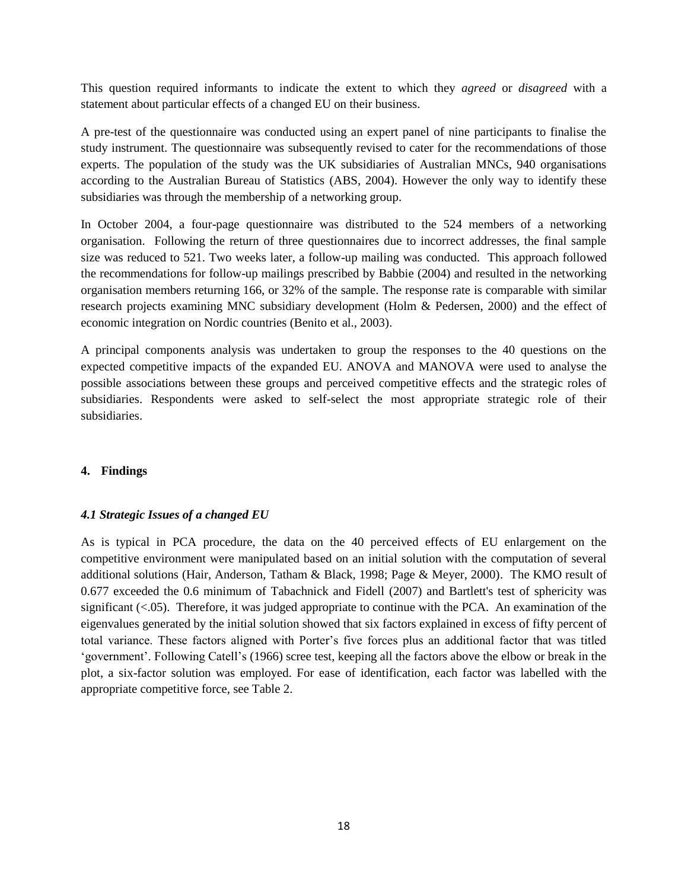This question required informants to indicate the extent to which they *agreed* or *disagreed* with a statement about particular effects of a changed EU on their business.

A pre-test of the questionnaire was conducted using an expert panel of nine participants to finalise the study instrument. The questionnaire was subsequently revised to cater for the recommendations of those experts. The population of the study was the UK subsidiaries of Australian MNCs, 940 organisations according to the Australian Bureau of Statistics (ABS, 2004). However the only way to identify these subsidiaries was through the membership of a networking group.

In October 2004, a four-page questionnaire was distributed to the 524 members of a networking organisation. Following the return of three questionnaires due to incorrect addresses, the final sample size was reduced to 521. Two weeks later, a follow-up mailing was conducted. This approach followed the recommendations for follow-up mailings prescribed by Babbie (2004) and resulted in the networking organisation members returning 166, or 32% of the sample. The response rate is comparable with similar research projects examining MNC subsidiary development (Holm & Pedersen, 2000) and the effect of economic integration on Nordic countries (Benito et al., 2003).

A principal components analysis was undertaken to group the responses to the 40 questions on the expected competitive impacts of the expanded EU. ANOVA and MANOVA were used to analyse the possible associations between these groups and perceived competitive effects and the strategic roles of subsidiaries. Respondents were asked to self-select the most appropriate strategic role of their subsidiaries.

## **4. Findings**

## *4.1 Strategic Issues of a changed EU*

As is typical in PCA procedure, the data on the 40 perceived effects of EU enlargement on the competitive environment were manipulated based on an initial solution with the computation of several additional solutions (Hair, Anderson, Tatham & Black, 1998; Page & Meyer, 2000). The KMO result of 0.677 exceeded the 0.6 minimum of Tabachnick and Fidell (2007) and Bartlett's test of sphericity was significant  $(<0.05)$ . Therefore, it was judged appropriate to continue with the PCA. An examination of the eigenvalues generated by the initial solution showed that six factors explained in excess of fifty percent of total variance. These factors aligned with Porter's five forces plus an additional factor that was titled ‗government'. Following Catell's (1966) scree test, keeping all the factors above the elbow or break in the plot, a six-factor solution was employed. For ease of identification, each factor was labelled with the appropriate competitive force, see Table 2.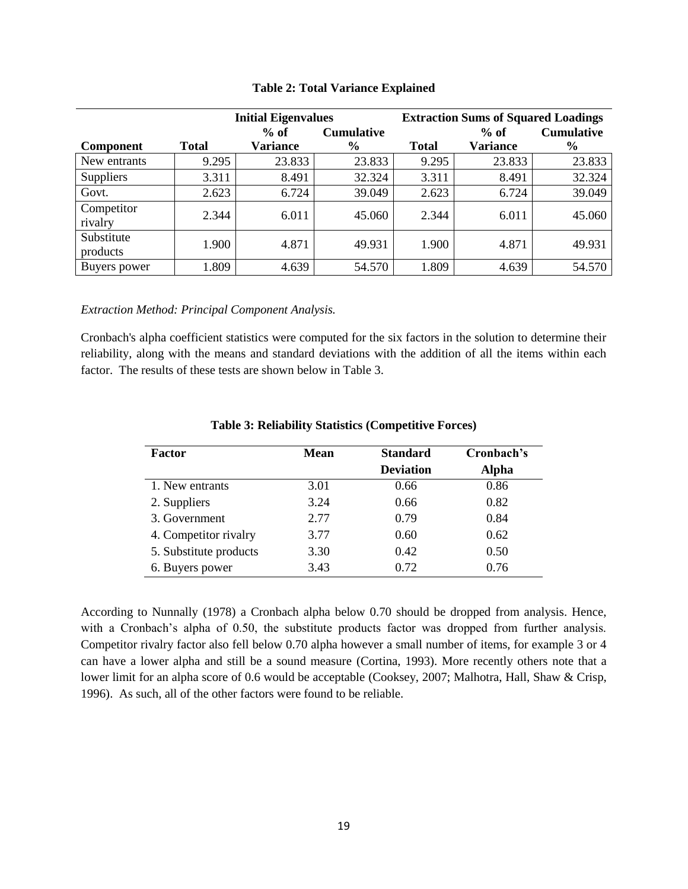|                  | <b>Initial Eigenvalues</b> |                 |                   | <b>Extraction Sums of Squared Loadings</b> |                 |                   |  |
|------------------|----------------------------|-----------------|-------------------|--------------------------------------------|-----------------|-------------------|--|
|                  |                            | $%$ of          | <b>Cumulative</b> |                                            | $%$ of          | <b>Cumulative</b> |  |
| <b>Component</b> | <b>Total</b>               | <b>Variance</b> | $\%$              | <b>Total</b>                               | <b>Variance</b> | $\frac{6}{9}$     |  |
| New entrants     | 9.295                      | 23.833          | 23.833            | 9.295                                      | 23.833          | 23.833            |  |
| Suppliers        | 3.311                      | 8.491           | 32.324            | 3.311                                      | 8.491           | 32.324            |  |
| Govt.            | 2.623                      | 6.724           | 39.049            | 2.623                                      | 6.724           | 39.049            |  |
| Competitor       | 2.344                      | 6.011           | 45.060            | 2.344                                      | 6.011           | 45.060            |  |
| rivalry          |                            |                 |                   |                                            |                 |                   |  |
| Substitute       | 1.900                      | 4.871           | 49.931            | 1.900                                      | 4.871           | 49.931            |  |
| products         |                            |                 |                   |                                            |                 |                   |  |
| Buyers power     | 1.809                      | 4.639           | 54.570            | 1.809                                      | 4.639           | 54.570            |  |

#### **Table 2: Total Variance Explained**

*Extraction Method: Principal Component Analysis.*

Cronbach's alpha coefficient statistics were computed for the six factors in the solution to determine their reliability, along with the means and standard deviations with the addition of all the items within each factor. The results of these tests are shown below in Table 3.

| <b>Factor</b>          | <b>Mean</b> | <b>Standard</b>  | Cronbach's   |
|------------------------|-------------|------------------|--------------|
|                        |             | <b>Deviation</b> | <b>Alpha</b> |
| 1. New entrants        | 3.01        | 0.66             | 0.86         |
| 2. Suppliers           | 3.24        | 0.66             | 0.82         |
| 3. Government          | 2.77        | 0.79             | 0.84         |
| 4. Competitor rivalry  | 3.77        | 0.60             | 0.62         |
| 5. Substitute products | 3.30        | 0.42             | 0.50         |
| 6. Buyers power        | 3.43        | 0.72             | 0.76         |

#### **Table 3: Reliability Statistics (Competitive Forces)**

According to Nunnally (1978) a Cronbach alpha below 0.70 should be dropped from analysis. Hence, with a Cronbach's alpha of 0.50, the substitute products factor was dropped from further analysis. Competitor rivalry factor also fell below 0.70 alpha however a small number of items, for example 3 or 4 can have a lower alpha and still be a sound measure (Cortina, 1993). More recently others note that a lower limit for an alpha score of 0.6 would be acceptable (Cooksey, 2007; Malhotra, Hall, Shaw & Crisp, 1996). As such, all of the other factors were found to be reliable.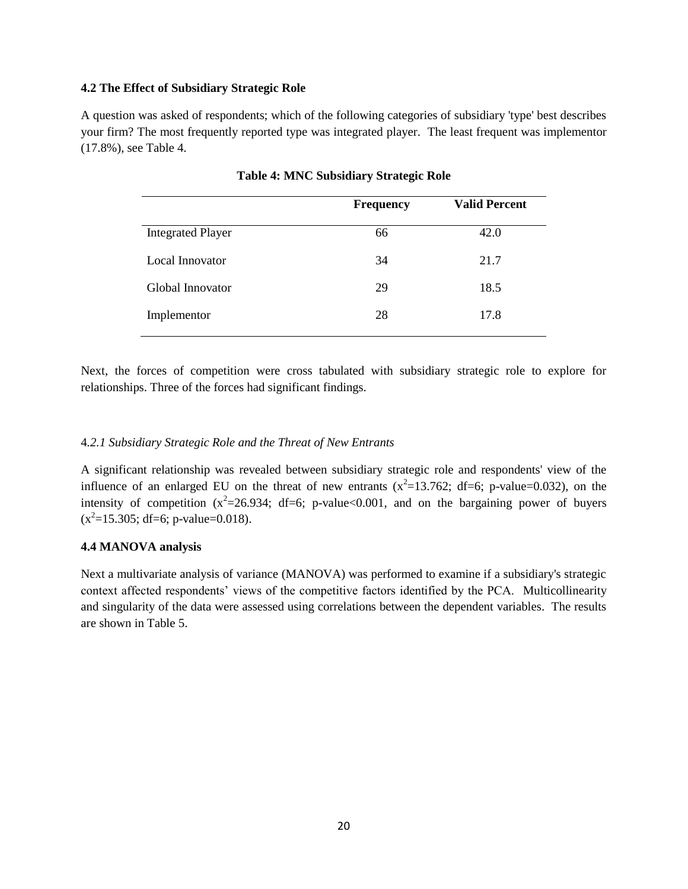#### **4.2 The Effect of Subsidiary Strategic Role**

A question was asked of respondents; which of the following categories of subsidiary 'type' best describes your firm? The most frequently reported type was integrated player. The least frequent was implementor (17.8%), see Table 4.

|                          | <b>Frequency</b> | <b>Valid Percent</b> |
|--------------------------|------------------|----------------------|
| <b>Integrated Player</b> | 66               | 42.0                 |
| Local Innovator          | 34               | 21.7                 |
| Global Innovator         | 29               | 18.5                 |
| Implementor              | 28               | 17.8                 |

**Table 4: MNC Subsidiary Strategic Role**

Next, the forces of competition were cross tabulated with subsidiary strategic role to explore for relationships. Three of the forces had significant findings.

## 4*.2.1 Subsidiary Strategic Role and the Threat of New Entrants*

A significant relationship was revealed between subsidiary strategic role and respondents' view of the influence of an enlarged EU on the threat of new entrants  $(x^2=13.762; df=6; p-value=0.032)$ , on the intensity of competition  $(x^2=26.934; df=6; p-value<0.001$ , and on the bargaining power of buyers  $(x^2=15.305; df=6; p-value=0.018).$ 

## **4.4 MANOVA analysis**

Next a multivariate analysis of variance (MANOVA) was performed to examine if a subsidiary's strategic context affected respondents' views of the competitive factors identified by the PCA. Multicollinearity and singularity of the data were assessed using correlations between the dependent variables. The results are shown in Table 5.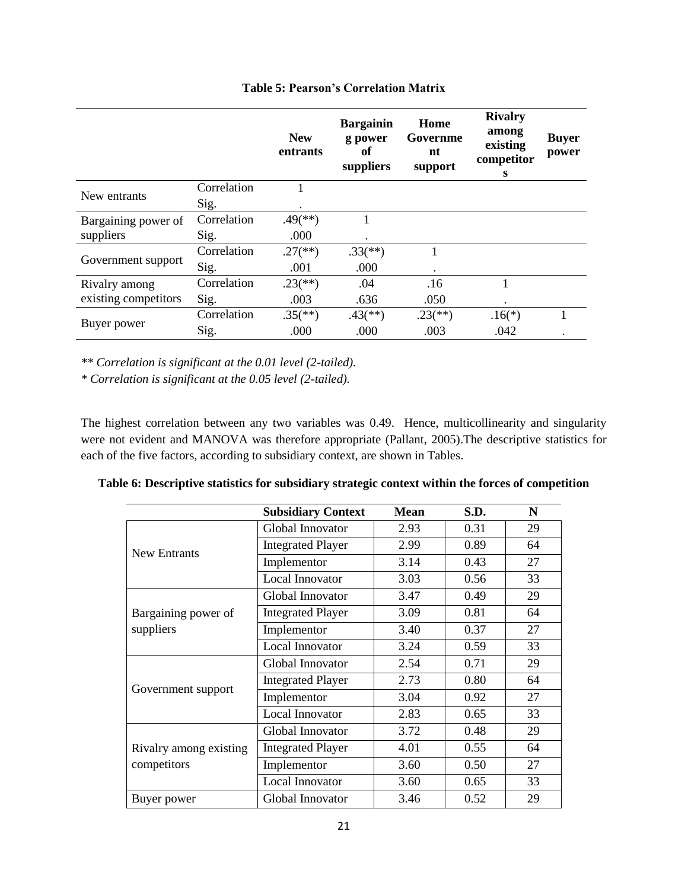|                      |             | <b>New</b><br>entrants  | <b>Bargainin</b><br>g power<br>оf<br>suppliers | Home<br>Governme<br>nt<br>support | <b>Rivalry</b><br>among<br>existing<br>competitor<br>s | <b>Buyer</b><br>power |
|----------------------|-------------|-------------------------|------------------------------------------------|-----------------------------------|--------------------------------------------------------|-----------------------|
| New entrants         | Correlation |                         |                                                |                                   |                                                        |                       |
|                      | Sig.        |                         |                                                |                                   |                                                        |                       |
| Bargaining power of  | Correlation | $.49$ <sup>(**)</sup> ) |                                                |                                   |                                                        |                       |
| suppliers            | Sig.        | .000                    | ٠                                              |                                   |                                                        |                       |
| Government support   | Correlation | $.27$ <sup>(**)</sup> ) | $.33$ <sup>(**)</sup> )                        | 1                                 |                                                        |                       |
|                      | Sig.        | .001                    | .000                                           |                                   |                                                        |                       |
| Rivalry among        | Correlation | $.23$ <sup>(**)</sup> ) | .04                                            | .16                               |                                                        |                       |
| existing competitors | Sig.        | .003                    | .636                                           | .050                              |                                                        |                       |
|                      | Correlation | $.35$ <sup>(**)</sup> ) | $.43$ <sup>(**)</sup> )                        | $.23$ <sup>(**)</sup> )           | $.16(*)$                                               |                       |
| Buyer power          | Sig.        | .000                    | .000                                           | .003                              | .042                                                   |                       |

## **Table 5: Pearson's Correlation Matrix**

*\*\* Correlation is significant at the 0.01 level (2-tailed).*

*\* Correlation is significant at the 0.05 level (2-tailed).*

The highest correlation between any two variables was 0.49. Hence, multicollinearity and singularity were not evident and MANOVA was therefore appropriate (Pallant, 2005).The descriptive statistics for each of the five factors, according to subsidiary context, are shown in Tables.

| Table 6: Descriptive statistics for subsidiary strategic context within the forces of competition |  |  |  |
|---------------------------------------------------------------------------------------------------|--|--|--|
|                                                                                                   |  |  |  |

|                                       | <b>Subsidiary Context</b> | <b>Mean</b> | S.D. | N  |
|---------------------------------------|---------------------------|-------------|------|----|
|                                       | Global Innovator          | 2.93        | 0.31 | 29 |
| <b>New Entrants</b>                   | <b>Integrated Player</b>  | 2.99        | 0.89 | 64 |
|                                       | Implementor               | 3.14        | 0.43 | 27 |
|                                       | Local Innovator           | 3.03        | 0.56 | 33 |
|                                       | Global Innovator          | 3.47        | 0.49 | 29 |
| Bargaining power of                   | <b>Integrated Player</b>  | 3.09        | 0.81 | 64 |
| suppliers                             | Implementor               | 3.40        | 0.37 | 27 |
|                                       | Local Innovator           | 3.24        | 0.59 | 33 |
|                                       | Global Innovator          | 2.54        | 0.71 | 29 |
|                                       | <b>Integrated Player</b>  | 2.73        | 0.80 | 64 |
| Government support                    | Implementor               | 3.04        | 0.92 | 27 |
|                                       | Local Innovator           | 2.83        | 0.65 | 33 |
|                                       | Global Innovator          | 3.72        | 0.48 | 29 |
| Rivalry among existing<br>competitors | <b>Integrated Player</b>  | 4.01        | 0.55 | 64 |
|                                       | Implementor               | 3.60        | 0.50 | 27 |
|                                       | Local Innovator           | 3.60        | 0.65 | 33 |
| Buyer power                           | Global Innovator          | 3.46        | 0.52 | 29 |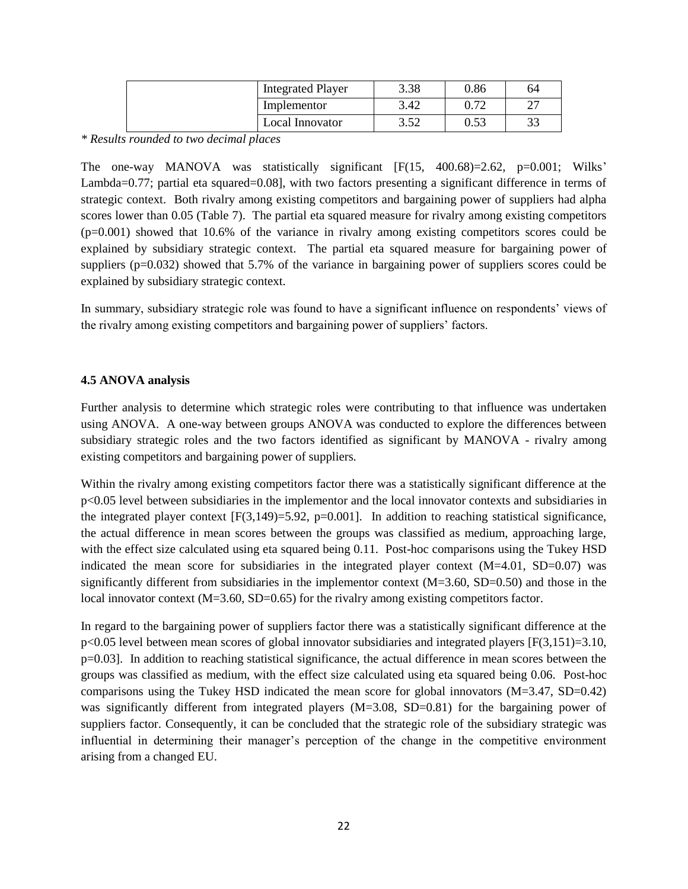| <b>Integrated Player</b> | 3.38        | 0.86 | 64        |
|--------------------------|-------------|------|-----------|
| Implementor              | 3.42        | 0.72 | ^7        |
| Local Innovator          | 2.50<br>ے ت | 0.53 | າາ<br>ر ر |

*\* Results rounded to two decimal places*

The one-way MANOVA was statistically significant [F(15, 400.68)=2.62, p=0.001; Wilks' Lambda=0.77; partial eta squared=0.08], with two factors presenting a significant difference in terms of strategic context. Both rivalry among existing competitors and bargaining power of suppliers had alpha scores lower than 0.05 (Table 7). The partial eta squared measure for rivalry among existing competitors (p=0.001) showed that 10.6% of the variance in rivalry among existing competitors scores could be explained by subsidiary strategic context. The partial eta squared measure for bargaining power of suppliers (p=0.032) showed that 5.7% of the variance in bargaining power of suppliers scores could be explained by subsidiary strategic context.

In summary, subsidiary strategic role was found to have a significant influence on respondents' views of the rivalry among existing competitors and bargaining power of suppliers' factors.

## **4.5 ANOVA analysis**

Further analysis to determine which strategic roles were contributing to that influence was undertaken using ANOVA. A one-way between groups ANOVA was conducted to explore the differences between subsidiary strategic roles and the two factors identified as significant by MANOVA - rivalry among existing competitors and bargaining power of suppliers.

Within the rivalry among existing competitors factor there was a statistically significant difference at the p<0.05 level between subsidiaries in the implementor and the local innovator contexts and subsidiaries in the integrated player context  $[F(3,149)=5.92, p=0.001]$ . In addition to reaching statistical significance, the actual difference in mean scores between the groups was classified as medium, approaching large, with the effect size calculated using eta squared being 0.11. Post-hoc comparisons using the Tukey HSD indicated the mean score for subsidiaries in the integrated player context  $(M=4.01, SD=0.07)$  was significantly different from subsidiaries in the implementor context  $(M=3.60, SD=0.50)$  and those in the local innovator context (M=3.60, SD=0.65) for the rivalry among existing competitors factor.

In regard to the bargaining power of suppliers factor there was a statistically significant difference at the  $p\leq 0.05$  level between mean scores of global innovator subsidiaries and integrated players [F(3,151)=3.10,  $p=0.03$ . In addition to reaching statistical significance, the actual difference in mean scores between the groups was classified as medium, with the effect size calculated using eta squared being 0.06. Post-hoc comparisons using the Tukey HSD indicated the mean score for global innovators (M=3.47, SD=0.42) was significantly different from integrated players (M=3.08, SD=0.81) for the bargaining power of suppliers factor. Consequently, it can be concluded that the strategic role of the subsidiary strategic was influential in determining their manager's perception of the change in the competitive environment arising from a changed EU.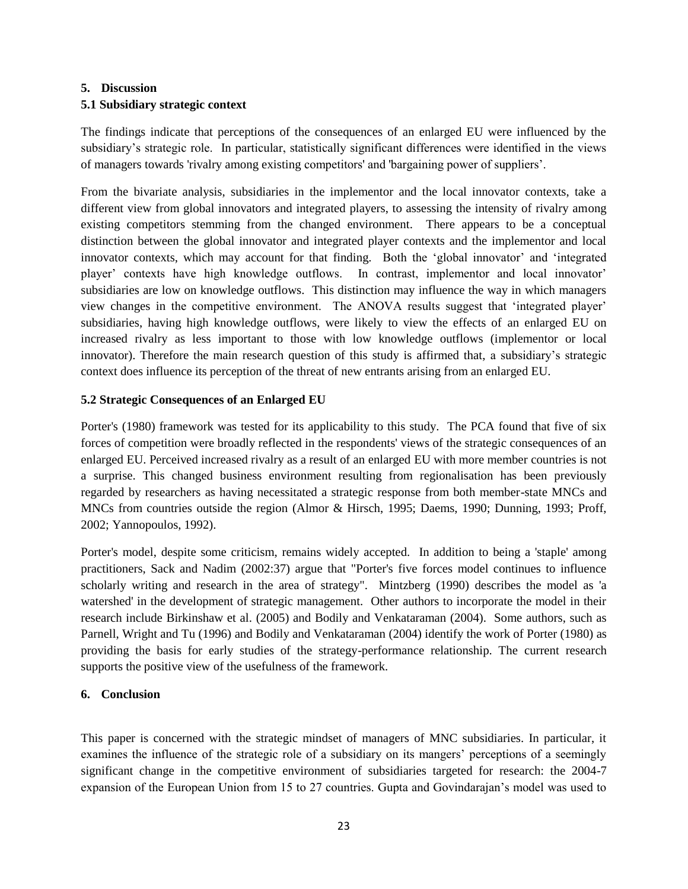# **5. Discussion**

## **5.1 Subsidiary strategic context**

The findings indicate that perceptions of the consequences of an enlarged EU were influenced by the subsidiary's strategic role. In particular, statistically significant differences were identified in the views of managers towards 'rivalry among existing competitors' and 'bargaining power of suppliers'.

From the bivariate analysis, subsidiaries in the implementor and the local innovator contexts, take a different view from global innovators and integrated players, to assessing the intensity of rivalry among existing competitors stemming from the changed environment. There appears to be a conceptual distinction between the global innovator and integrated player contexts and the implementor and local innovator contexts, which may account for that finding. Both the 'global innovator' and 'integrated player' contexts have high knowledge outflows. In contrast, implementor and local innovator' subsidiaries are low on knowledge outflows. This distinction may influence the way in which managers view changes in the competitive environment. The ANOVA results suggest that ‗integrated player' subsidiaries, having high knowledge outflows, were likely to view the effects of an enlarged EU on increased rivalry as less important to those with low knowledge outflows (implementor or local innovator). Therefore the main research question of this study is affirmed that, a subsidiary's strategic context does influence its perception of the threat of new entrants arising from an enlarged EU.

## **5.2 Strategic Consequences of an Enlarged EU**

Porter's (1980) framework was tested for its applicability to this study. The PCA found that five of six forces of competition were broadly reflected in the respondents' views of the strategic consequences of an enlarged EU. Perceived increased rivalry as a result of an enlarged EU with more member countries is not a surprise. This changed business environment resulting from regionalisation has been previously regarded by researchers as having necessitated a strategic response from both member-state MNCs and MNCs from countries outside the region (Almor & Hirsch, 1995; Daems, 1990; Dunning, 1993; Proff, 2002; Yannopoulos, 1992).

Porter's model, despite some criticism, remains widely accepted. In addition to being a 'staple' among practitioners, Sack and Nadim (2002:37) argue that "Porter's five forces model continues to influence scholarly writing and research in the area of strategy". Mintzberg (1990) describes the model as 'a watershed' in the development of strategic management. Other authors to incorporate the model in their research include Birkinshaw et al. (2005) and Bodily and Venkataraman (2004). Some authors, such as Parnell, Wright and Tu (1996) and Bodily and Venkataraman (2004) identify the work of Porter (1980) as providing the basis for early studies of the strategy-performance relationship. The current research supports the positive view of the usefulness of the framework.

## **6. Conclusion**

This paper is concerned with the strategic mindset of managers of MNC subsidiaries. In particular, it examines the influence of the strategic role of a subsidiary on its mangers' perceptions of a seemingly significant change in the competitive environment of subsidiaries targeted for research: the 2004-7 expansion of the European Union from 15 to 27 countries. Gupta and Govindarajan's model was used to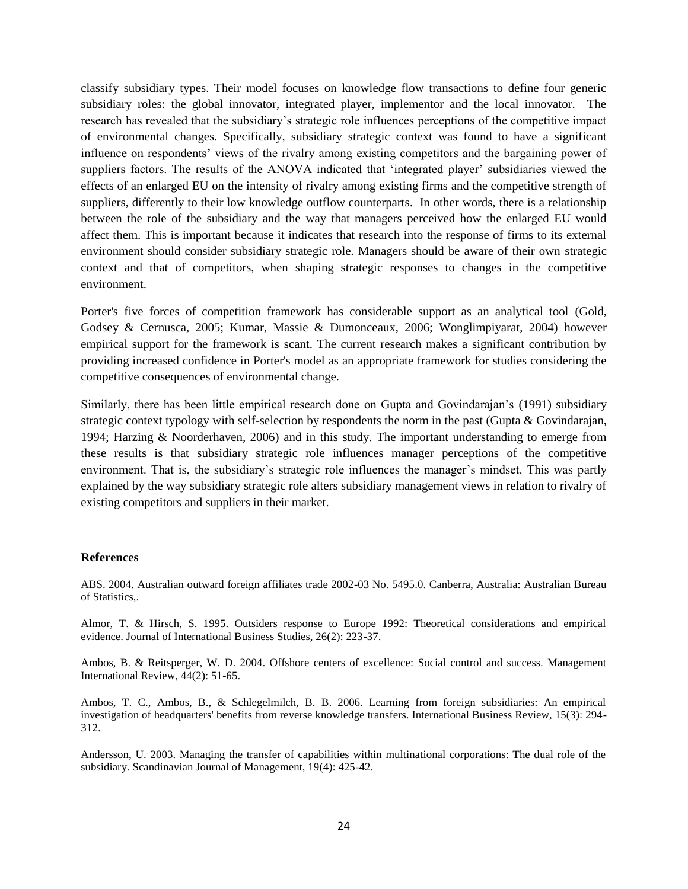classify subsidiary types. Their model focuses on knowledge flow transactions to define four generic subsidiary roles: the global innovator, integrated player, implementor and the local innovator. The research has revealed that the subsidiary's strategic role influences perceptions of the competitive impact of environmental changes. Specifically, subsidiary strategic context was found to have a significant influence on respondents' views of the rivalry among existing competitors and the bargaining power of suppliers factors. The results of the ANOVA indicated that 'integrated player' subsidiaries viewed the effects of an enlarged EU on the intensity of rivalry among existing firms and the competitive strength of suppliers, differently to their low knowledge outflow counterparts. In other words, there is a relationship between the role of the subsidiary and the way that managers perceived how the enlarged EU would affect them. This is important because it indicates that research into the response of firms to its external environment should consider subsidiary strategic role. Managers should be aware of their own strategic context and that of competitors, when shaping strategic responses to changes in the competitive environment.

Porter's five forces of competition framework has considerable support as an analytical tool (Gold, Godsey & Cernusca, 2005; Kumar, Massie & Dumonceaux, 2006; Wonglimpiyarat, 2004) however empirical support for the framework is scant. The current research makes a significant contribution by providing increased confidence in Porter's model as an appropriate framework for studies considering the competitive consequences of environmental change.

Similarly, there has been little empirical research done on Gupta and Govindarajan's (1991) subsidiary strategic context typology with self-selection by respondents the norm in the past (Gupta & Govindarajan, 1994; Harzing & Noorderhaven, 2006) and in this study. The important understanding to emerge from these results is that subsidiary strategic role influences manager perceptions of the competitive environment. That is, the subsidiary's strategic role influences the manager's mindset. This was partly explained by the way subsidiary strategic role alters subsidiary management views in relation to rivalry of existing competitors and suppliers in their market.

#### **References**

ABS. 2004. Australian outward foreign affiliates trade 2002-03 No. 5495.0. Canberra, Australia: Australian Bureau of Statistics,.

Almor, T. & Hirsch, S. 1995. Outsiders response to Europe 1992: Theoretical considerations and empirical evidence. Journal of International Business Studies, 26(2): 223-37.

Ambos, B. & Reitsperger, W. D. 2004. Offshore centers of excellence: Social control and success. Management International Review, 44(2): 51-65.

Ambos, T. C., Ambos, B., & Schlegelmilch, B. B. 2006. Learning from foreign subsidiaries: An empirical investigation of headquarters' benefits from reverse knowledge transfers. International Business Review, 15(3): 294- 312.

Andersson, U. 2003. Managing the transfer of capabilities within multinational corporations: The dual role of the subsidiary. Scandinavian Journal of Management, 19(4): 425-42.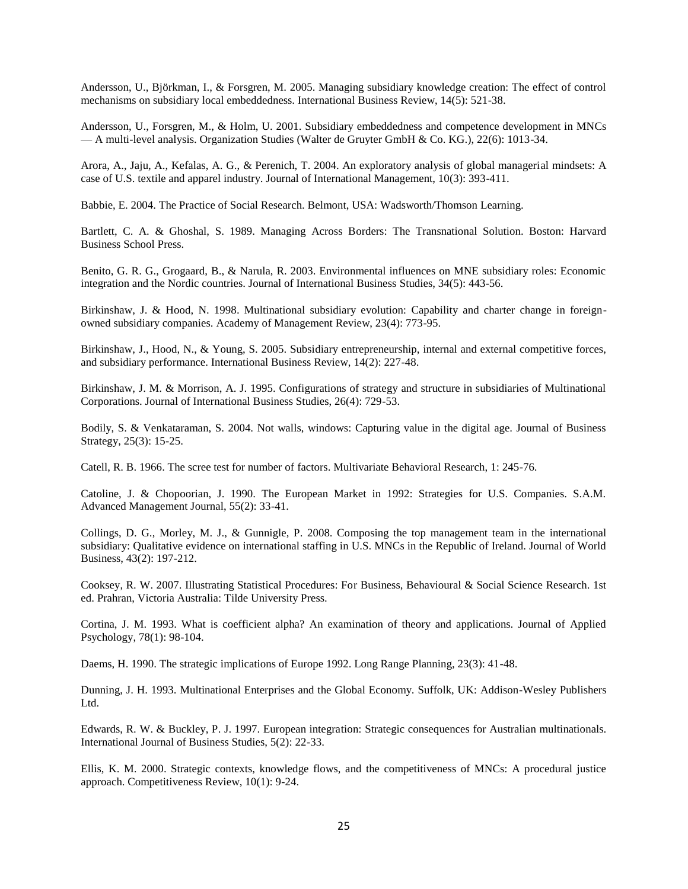Andersson, U., Björkman, I., & Forsgren, M. 2005. Managing subsidiary knowledge creation: The effect of control mechanisms on subsidiary local embeddedness. International Business Review, 14(5): 521-38.

Andersson, U., Forsgren, M., & Holm, U. 2001. Subsidiary embeddedness and competence development in MNCs — A multi-level analysis. Organization Studies (Walter de Gruyter GmbH & Co. KG.), 22(6): 1013-34.

Arora, A., Jaju, A., Kefalas, A. G., & Perenich, T. 2004. An exploratory analysis of global managerial mindsets: A case of U.S. textile and apparel industry. Journal of International Management, 10(3): 393-411.

Babbie, E. 2004. The Practice of Social Research. Belmont, USA: Wadsworth/Thomson Learning.

Bartlett, C. A. & Ghoshal, S. 1989. Managing Across Borders: The Transnational Solution. Boston: Harvard Business School Press.

Benito, G. R. G., Grogaard, B., & Narula, R. 2003. Environmental influences on MNE subsidiary roles: Economic integration and the Nordic countries. Journal of International Business Studies, 34(5): 443-56.

Birkinshaw, J. & Hood, N. 1998. Multinational subsidiary evolution: Capability and charter change in foreignowned subsidiary companies. Academy of Management Review, 23(4): 773-95.

Birkinshaw, J., Hood, N., & Young, S. 2005. Subsidiary entrepreneurship, internal and external competitive forces, and subsidiary performance. International Business Review, 14(2): 227-48.

Birkinshaw, J. M. & Morrison, A. J. 1995. Configurations of strategy and structure in subsidiaries of Multinational Corporations. Journal of International Business Studies, 26(4): 729-53.

Bodily, S. & Venkataraman, S. 2004. Not walls, windows: Capturing value in the digital age. Journal of Business Strategy, 25(3): 15-25.

Catell, R. B. 1966. The scree test for number of factors. Multivariate Behavioral Research, 1: 245-76.

Catoline, J. & Chopoorian, J. 1990. The European Market in 1992: Strategies for U.S. Companies. S.A.M. Advanced Management Journal, 55(2): 33-41.

Collings, D. G., Morley, M. J., & Gunnigle, P. 2008. Composing the top management team in the international subsidiary: Qualitative evidence on international staffing in U.S. MNCs in the Republic of Ireland. Journal of World Business, 43(2): 197-212.

Cooksey, R. W. 2007. Illustrating Statistical Procedures: For Business, Behavioural & Social Science Research. 1st ed. Prahran, Victoria Australia: Tilde University Press.

Cortina, J. M. 1993. What is coefficient alpha? An examination of theory and applications. Journal of Applied Psychology, 78(1): 98-104.

Daems, H. 1990. The strategic implications of Europe 1992. Long Range Planning, 23(3): 41-48.

Dunning, J. H. 1993. Multinational Enterprises and the Global Economy. Suffolk, UK: Addison-Wesley Publishers Ltd.

Edwards, R. W. & Buckley, P. J. 1997. European integration: Strategic consequences for Australian multinationals. International Journal of Business Studies, 5(2): 22-33.

Ellis, K. M. 2000. Strategic contexts, knowledge flows, and the competitiveness of MNCs: A procedural justice approach. Competitiveness Review, 10(1): 9-24.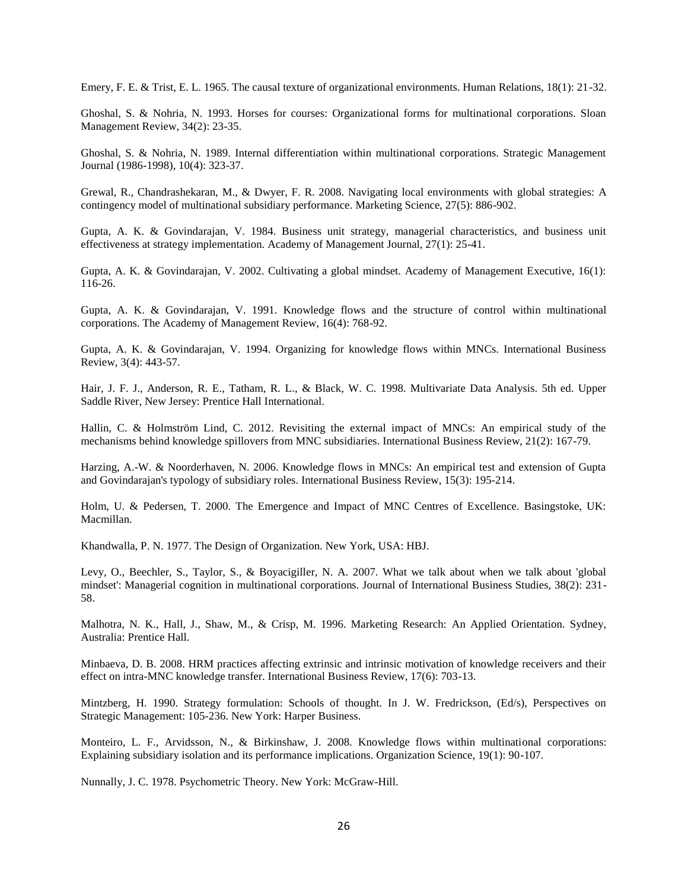Emery, F. E. & Trist, E. L. 1965. The causal texture of organizational environments. Human Relations, 18(1): 21-32.

Ghoshal, S. & Nohria, N. 1993. Horses for courses: Organizational forms for multinational corporations. Sloan Management Review, 34(2): 23-35.

Ghoshal, S. & Nohria, N. 1989. Internal differentiation within multinational corporations. Strategic Management Journal (1986-1998), 10(4): 323-37.

Grewal, R., Chandrashekaran, M., & Dwyer, F. R. 2008. Navigating local environments with global strategies: A contingency model of multinational subsidiary performance. Marketing Science, 27(5): 886-902.

Gupta, A. K. & Govindarajan, V. 1984. Business unit strategy, managerial characteristics, and business unit effectiveness at strategy implementation. Academy of Management Journal, 27(1): 25-41.

Gupta, A. K. & Govindarajan, V. 2002. Cultivating a global mindset. Academy of Management Executive, 16(1): 116-26.

Gupta, A. K. & Govindarajan, V. 1991. Knowledge flows and the structure of control within multinational corporations. The Academy of Management Review, 16(4): 768-92.

Gupta, A. K. & Govindarajan, V. 1994. Organizing for knowledge flows within MNCs. International Business Review, 3(4): 443-57.

Hair, J. F. J., Anderson, R. E., Tatham, R. L., & Black, W. C. 1998. Multivariate Data Analysis. 5th ed. Upper Saddle River, New Jersey: Prentice Hall International.

Hallin, C. & Holmström Lind, C. 2012. Revisiting the external impact of MNCs: An empirical study of the mechanisms behind knowledge spillovers from MNC subsidiaries. International Business Review, 21(2): 167-79.

Harzing, A.-W. & Noorderhaven, N. 2006. Knowledge flows in MNCs: An empirical test and extension of Gupta and Govindarajan's typology of subsidiary roles. International Business Review, 15(3): 195-214.

Holm, U. & Pedersen, T. 2000. The Emergence and Impact of MNC Centres of Excellence. Basingstoke, UK: Macmillan.

Khandwalla, P. N. 1977. The Design of Organization. New York, USA: HBJ.

Levy, O., Beechler, S., Taylor, S., & Boyacigiller, N. A. 2007. What we talk about when we talk about 'global mindset': Managerial cognition in multinational corporations. Journal of International Business Studies, 38(2): 231- 58.

Malhotra, N. K., Hall, J., Shaw, M., & Crisp, M. 1996. Marketing Research: An Applied Orientation. Sydney, Australia: Prentice Hall.

Minbaeva, D. B. 2008. HRM practices affecting extrinsic and intrinsic motivation of knowledge receivers and their effect on intra-MNC knowledge transfer. International Business Review, 17(6): 703-13.

Mintzberg, H. 1990. Strategy formulation: Schools of thought. In J. W. Fredrickson, (Ed/s), Perspectives on Strategic Management: 105-236. New York: Harper Business.

Monteiro, L. F., Arvidsson, N., & Birkinshaw, J. 2008. Knowledge flows within multinational corporations: Explaining subsidiary isolation and its performance implications. Organization Science, 19(1): 90-107.

Nunnally, J. C. 1978. Psychometric Theory. New York: McGraw-Hill.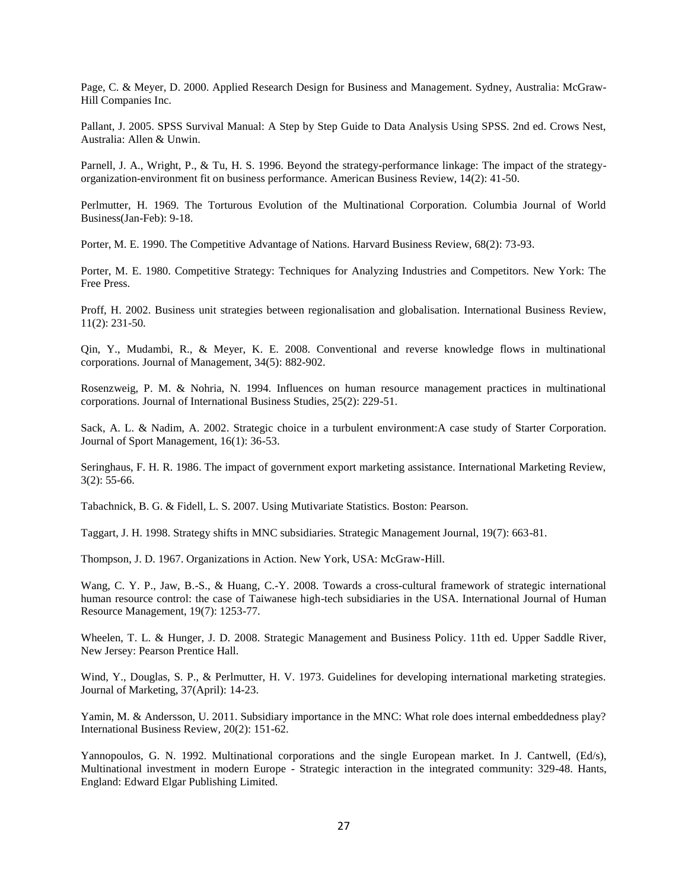Page, C. & Meyer, D. 2000. Applied Research Design for Business and Management. Sydney, Australia: McGraw-Hill Companies Inc.

Pallant, J. 2005. SPSS Survival Manual: A Step by Step Guide to Data Analysis Using SPSS. 2nd ed. Crows Nest, Australia: Allen & Unwin.

Parnell, J. A., Wright, P., & Tu, H. S. 1996. Beyond the strategy-performance linkage: The impact of the strategyorganization-environment fit on business performance. American Business Review, 14(2): 41-50.

Perlmutter, H. 1969. The Torturous Evolution of the Multinational Corporation. Columbia Journal of World Business(Jan-Feb): 9-18.

Porter, M. E. 1990. The Competitive Advantage of Nations. Harvard Business Review, 68(2): 73-93.

Porter, M. E. 1980. Competitive Strategy: Techniques for Analyzing Industries and Competitors. New York: The Free Press.

Proff, H. 2002. Business unit strategies between regionalisation and globalisation. International Business Review, 11(2): 231-50.

Qin, Y., Mudambi, R., & Meyer, K. E. 2008. Conventional and reverse knowledge flows in multinational corporations. Journal of Management, 34(5): 882-902.

Rosenzweig, P. M. & Nohria, N. 1994. Influences on human resource management practices in multinational corporations. Journal of International Business Studies, 25(2): 229-51.

Sack, A. L. & Nadim, A. 2002. Strategic choice in a turbulent environment:A case study of Starter Corporation. Journal of Sport Management, 16(1): 36-53.

Seringhaus, F. H. R. 1986. The impact of government export marketing assistance. International Marketing Review, 3(2): 55-66.

Tabachnick, B. G. & Fidell, L. S. 2007. Using Mutivariate Statistics. Boston: Pearson.

Taggart, J. H. 1998. Strategy shifts in MNC subsidiaries. Strategic Management Journal, 19(7): 663-81.

Thompson, J. D. 1967. Organizations in Action. New York, USA: McGraw-Hill.

Wang, C. Y. P., Jaw, B.-S., & Huang, C.-Y. 2008. Towards a cross-cultural framework of strategic international human resource control: the case of Taiwanese high-tech subsidiaries in the USA. International Journal of Human Resource Management, 19(7): 1253-77.

Wheelen, T. L. & Hunger, J. D. 2008. Strategic Management and Business Policy. 11th ed. Upper Saddle River, New Jersey: Pearson Prentice Hall.

Wind, Y., Douglas, S. P., & Perlmutter, H. V. 1973. Guidelines for developing international marketing strategies. Journal of Marketing, 37(April): 14-23.

Yamin, M. & Andersson, U. 2011. Subsidiary importance in the MNC: What role does internal embeddedness play? International Business Review, 20(2): 151-62.

Yannopoulos, G. N. 1992. Multinational corporations and the single European market. In J. Cantwell, (Ed/s), Multinational investment in modern Europe - Strategic interaction in the integrated community: 329-48. Hants, England: Edward Elgar Publishing Limited.